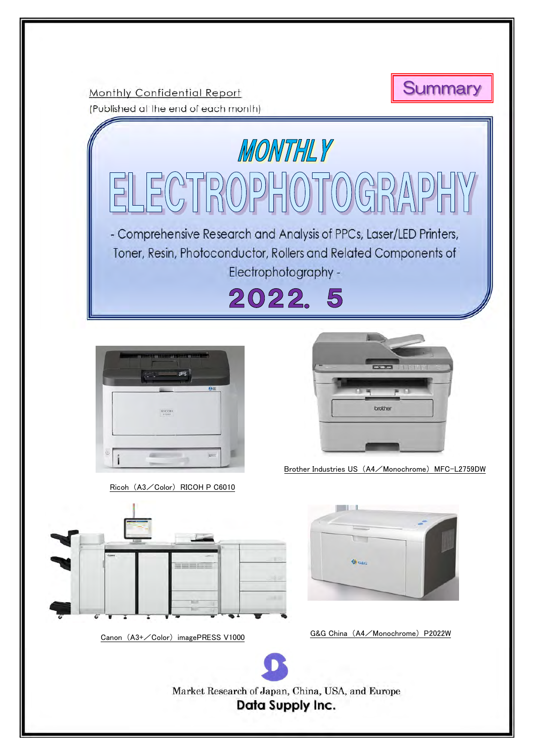

Monthly Confidential Report (Published at the end of each month)

MONTHLY ELECTROPHOTOGRA - Comprehensive Research and Analysis of PPCs, Laser/LED Printers, Toner, Resin, Photoconductor, Rollers and Related Components of Electrophotography -2022.5 brothe Brother Industries US (A4/Monochrome) MFC-L2759DW Ricoh (A3/Color) RICOH P C6010 **G**G&c Canon (A3+/Color) imagePRESS V1000 G&G China (A4/Monochrome) P2022W į. ļ Market Research of Japan, China, USA, and Europe **Data Supply Inc.**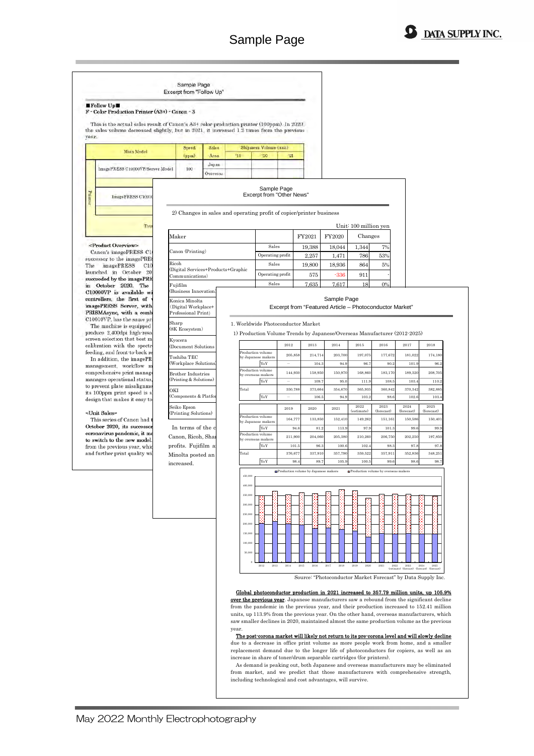



from market, and we predict that those manufacturers with comprehensive strength, including technological and cost advantages, will survive.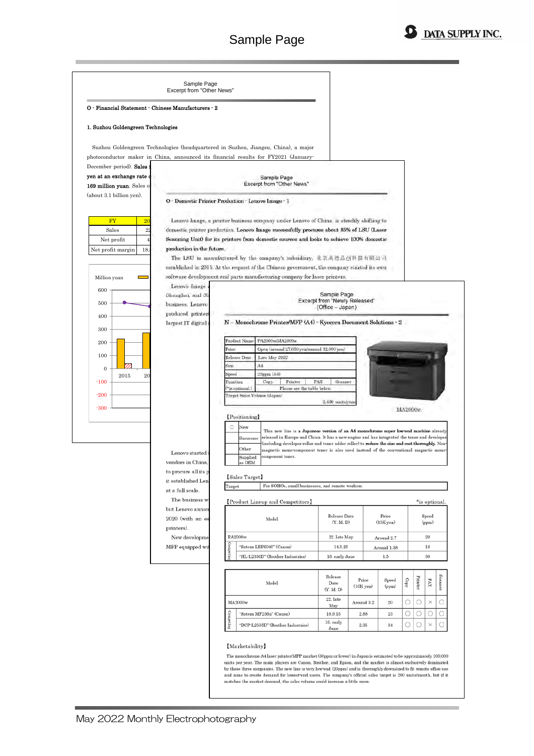

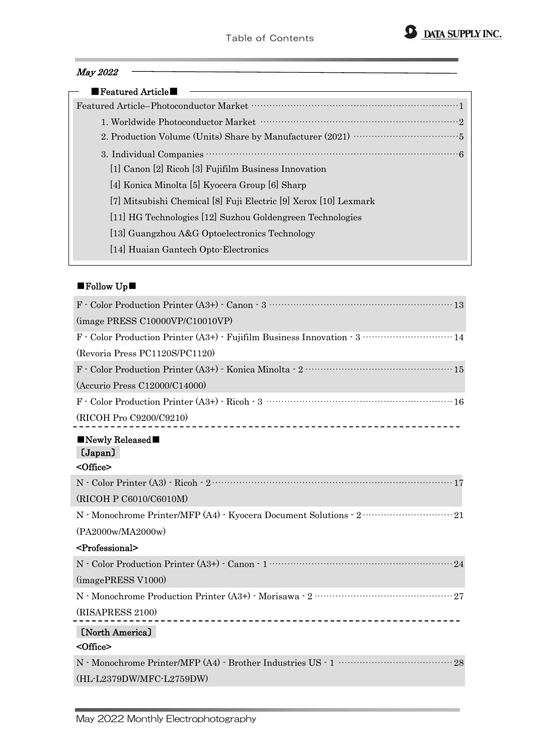## May 2022

| $\blacksquare$ Featured Article $\blacksquare$                   |
|------------------------------------------------------------------|
|                                                                  |
|                                                                  |
|                                                                  |
|                                                                  |
| [1] Canon [2] Ricoh [3] Fujifilm Business Innovation             |
| [4] Konica Minolta [5] Kyocera Group [6] Sharp                   |
| [7] Mitsubishi Chemical [8] Fuji Electric [9] Xerox [10] Lexmark |
| [11] HG Technologies [12] Suzhou Goldengreen Technologies        |
| [13] Guangzhou A&G Optoelectronics Technology                    |
| [14] Huaian Gantech Opto-Electronics                             |

## ■Follow Up■

| (image PRESS C10000VP/C10010VP)                          |
|----------------------------------------------------------|
|                                                          |
| (Revoria Press PC1120S/PC1120)                           |
|                                                          |
| (Accurio Press C12000/C14000)                            |
| $F - Color Production Printer(A3+) - Ricoh - 3 - \cdots$ |
| (RICOH Pro C9200/C9210)                                  |
| $\blacksquare$ Newly Released $\blacksquare$<br>(Japan)  |
| <office></office>                                        |
|                                                          |
| (RICOH P C6010/C6010M)                                   |
|                                                          |
| (PA2000w/MA2000w)                                        |
| <professional></professional>                            |
|                                                          |
| $\left(\text{imagePRESS V1000}\right)$                   |
|                                                          |
| (RISAPRESS 2100)                                         |
| [North America]                                          |
| <office></office>                                        |
|                                                          |
| (HL-L2379DW/MFC-L2759DW)                                 |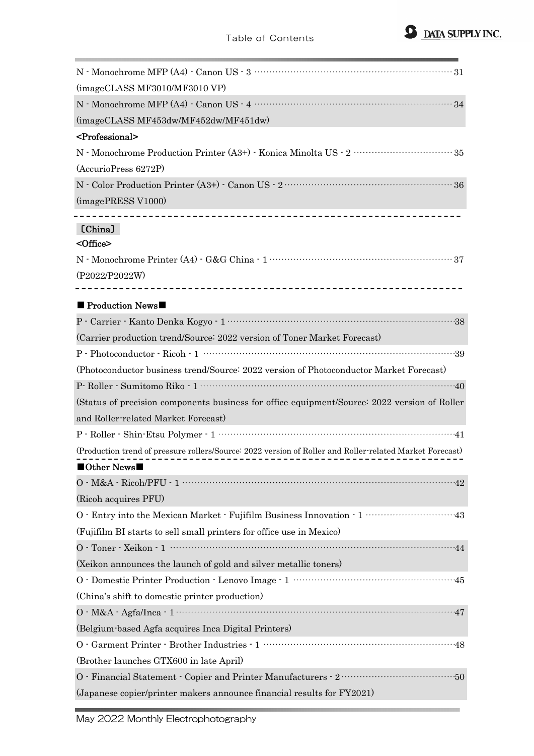

| (imageCLASS MF3010/MF3010 VP)                                                                                                                                     |
|-------------------------------------------------------------------------------------------------------------------------------------------------------------------|
|                                                                                                                                                                   |
| (imageCLASS MF453dw/MF452dw/MF451dw)                                                                                                                              |
| <professional></professional>                                                                                                                                     |
|                                                                                                                                                                   |
| (AccurioPress 6272P)                                                                                                                                              |
| $\mathbf{N}$ - Color Production Printer (A3+) - Canon US - $2$ $\cdots$ $\cdots$ $\cdots$ $\cdots$ $\cdots$ $\cdots$ $\cdots$ $\cdots$ $\cdots$ $\cdots$ $\cdots$ |
| (imagePRESS V1000)                                                                                                                                                |
| [China]<br><office></office>                                                                                                                                      |
|                                                                                                                                                                   |
| (P2022/P2022W)                                                                                                                                                    |
|                                                                                                                                                                   |
| $\blacksquare$ Production News $\blacksquare$                                                                                                                     |
|                                                                                                                                                                   |
| (Carrier production trend/Source: 2022 version of Toner Market Forecast)                                                                                          |
|                                                                                                                                                                   |
| (Photoconductor business trend/Source: 2022 version of Photoconductor Market Forecast)                                                                            |
|                                                                                                                                                                   |
| (Status of precision components business for office equipment/Source: 2022 version of Roller                                                                      |
| and Roller-related Market Forecast)                                                                                                                               |
|                                                                                                                                                                   |
| (Production trend of pressure rollers/Source: 2022 version of Roller and Roller-related Market Forecast)                                                          |
| $\blacksquare$ Other News $\blacksquare$                                                                                                                          |
| $0 \cdot M\&A \cdot \text{Ricoh/PFU} \cdot 1 \cdots$                                                                                                              |
| (Ricoh acquires PFU)                                                                                                                                              |
|                                                                                                                                                                   |
| (Fujifilm BI starts to sell small printers for office use in Mexico)                                                                                              |
|                                                                                                                                                                   |
| (Xeikon announces the launch of gold and silver metallic toners)                                                                                                  |
|                                                                                                                                                                   |
| (China's shift to domestic printer production)                                                                                                                    |
| $0 \cdot M\&A \cdot Agfa/Inca \cdot 1 \cdots 1$                                                                                                                   |
| (Belgium-based Agfa acquires Inca Digital Printers)                                                                                                               |
|                                                                                                                                                                   |
| (Brother launches GTX600 in late April)                                                                                                                           |
|                                                                                                                                                                   |
| (Japanese copier/printer makers announce financial results for FY2021)                                                                                            |